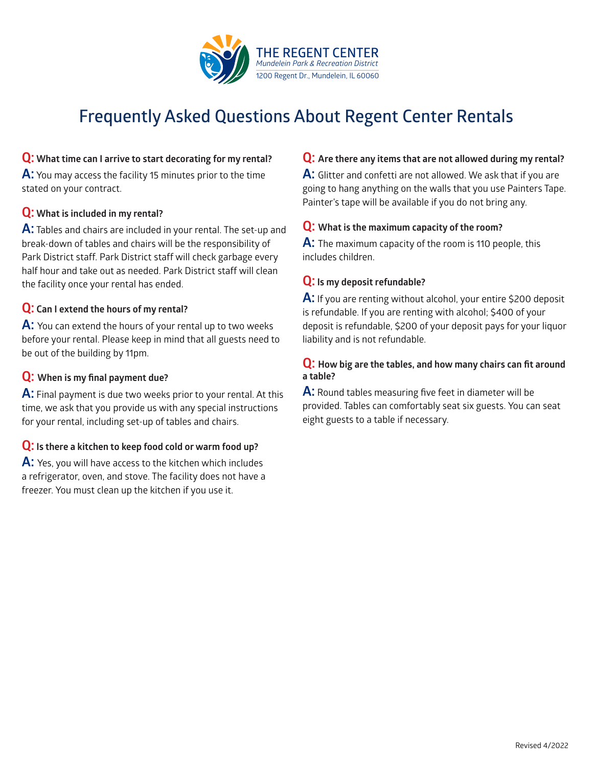

# **Frequently Asked Questions About Regent Center Rentals**

## **Q: What time can I arrive to start decorating for my rental?**

**A:** You may access the facility 15 minutes prior to the time stated on your contract.

### **Q: What is included in my rental?**

**A:** Tables and chairs are included in your rental. The set-up and break-down of tables and chairs will be the responsibility of Park District staff. Park District staff will check garbage every half hour and take out as needed. Park District staff will clean the facility once your rental has ended.

## **Q: Can I extend the hours of my rental?**

**A:** You can extend the hours of your rental up to two weeks before your rental. Please keep in mind that all guests need to be out of the building by 11pm.

## **Q: When is my final payment due?**

**A:** Final payment is due two weeks prior to your rental. At this time, we ask that you provide us with any special instructions for your rental, including set-up of tables and chairs.

## **Q: Is there a kitchen to keep food cold or warm food up?**

**A:** Yes, you will have access to the kitchen which includes a refrigerator, oven, and stove. The facility does not have a freezer. You must clean up the kitchen if you use it.

### **Q: Are there any items that are not allowed during my rental?**

**A:** Glitter and confetti are not allowed. We ask that if you are going to hang anything on the walls that you use Painters Tape. Painter's tape will be available if you do not bring any.

### **Q: What is the maximum capacity of the room?**

**A:** The maximum capacity of the room is 110 people, this includes children.

### **Q: Is my deposit refundable?**

**A:** If you are renting without alcohol, your entire \$200 deposit is refundable. If you are renting with alcohol; \$400 of your deposit is refundable, \$200 of your deposit pays for your liquor liability and is not refundable.

### **Q: How big are the tables, and how many chairs can fit around a table?**

**A:** Round tables measuring five feet in diameter will be provided. Tables can comfortably seat six guests. You can seat eight guests to a table if necessary.